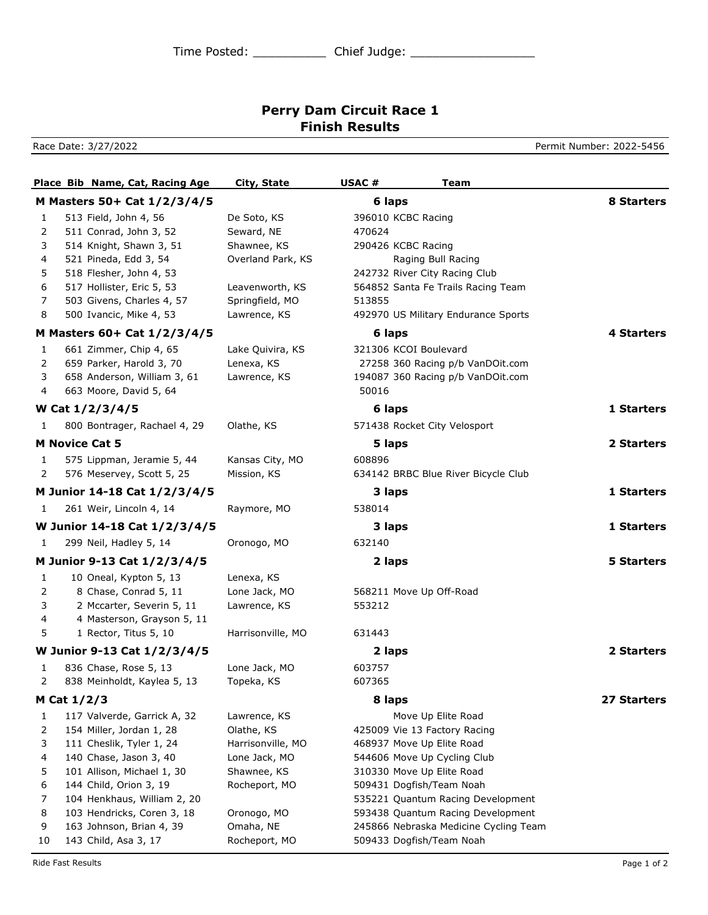## **Perry Dam Circuit Race 1 Finish Results**

Race Date: 3/27/2022 **Permit Number: 2022-5456** 

|              | Place Bib Name, Cat, Racing Age | <b>City, State</b> | USAC#<br>Team                         |                   |
|--------------|---------------------------------|--------------------|---------------------------------------|-------------------|
|              | M Masters 50+ Cat 1/2/3/4/5     |                    | 6 laps                                | 8 Starters        |
| 1            | 513 Field, John 4, 56           | De Soto, KS        | 396010 KCBC Racing                    |                   |
| 2            | 511 Conrad, John 3, 52          | Seward, NE         | 470624                                |                   |
| 3            | 514 Knight, Shawn 3, 51         | Shawnee, KS        | 290426 KCBC Racing                    |                   |
| 4            | 521 Pineda, Edd 3, 54           | Overland Park, KS  | Raging Bull Racing                    |                   |
| 5            | 518 Flesher, John 4, 53         |                    | 242732 River City Racing Club         |                   |
| 6            | 517 Hollister, Eric 5, 53       | Leavenworth, KS    | 564852 Santa Fe Trails Racing Team    |                   |
| 7            | 503 Givens, Charles 4, 57       | Springfield, MO    | 513855                                |                   |
| 8            | 500 Ivancic, Mike 4, 53         | Lawrence, KS       | 492970 US Military Endurance Sports   |                   |
|              | M Masters 60+ Cat 1/2/3/4/5     |                    | 6 laps                                | <b>4 Starters</b> |
| 1            | 661 Zimmer, Chip 4, 65          | Lake Quivira, KS   | 321306 KCOI Boulevard                 |                   |
| 2            | 659 Parker, Harold 3, 70        | Lenexa, KS         | 27258 360 Racing p/b VanDOit.com      |                   |
| 3            | 658 Anderson, William 3, 61     | Lawrence, KS       | 194087 360 Racing p/b VanDOit.com     |                   |
| 4            | 663 Moore, David 5, 64          |                    | 50016                                 |                   |
|              | W Cat 1/2/3/4/5                 |                    | 6 laps                                | 1 Starters        |
| 1            | 800 Bontrager, Rachael 4, 29    | Olathe, KS         | 571438 Rocket City Velosport          |                   |
|              | <b>M Novice Cat 5</b>           |                    | 5 laps                                | 2 Starters        |
| 1            | 575 Lippman, Jeramie 5, 44      | Kansas City, MO    | 608896                                |                   |
| 2            | 576 Meservey, Scott 5, 25       | Mission, KS        | 634142 BRBC Blue River Bicycle Club   |                   |
|              | M Junior 14-18 Cat 1/2/3/4/5    |                    | 3 laps                                | 1 Starters        |
| 1            | 261 Weir, Lincoln 4, 14         | Raymore, MO        | 538014                                |                   |
|              | W Junior 14-18 Cat 1/2/3/4/5    |                    | 3 laps                                | 1 Starters        |
| 1            | 299 Neil, Hadley 5, 14          | Oronogo, MO        | 632140                                |                   |
|              | M Junior 9-13 Cat 1/2/3/4/5     |                    | 2 laps                                | <b>5 Starters</b> |
| 1            | 10 Oneal, Kypton 5, 13          | Lenexa, KS         |                                       |                   |
| 2            | 8 Chase, Conrad 5, 11           | Lone Jack, MO      | 568211 Move Up Off-Road               |                   |
| 3            | 2 Mccarter, Severin 5, 11       | Lawrence, KS       | 553212                                |                   |
| 4            | 4 Masterson, Grayson 5, 11      |                    |                                       |                   |
| 5            | 1 Rector, Titus 5, 10           | Harrisonville, MO  | 631443                                |                   |
|              | W Junior 9-13 Cat 1/2/3/4/5     |                    | 2 laps                                | 2 Starters        |
| 1            | 836 Chase, Rose 5, 13           | Lone Jack, MO      | 603757                                |                   |
| 2            | 838 Meinholdt, Kaylea 5, 13     | Topeka, KS         | 607365                                |                   |
|              | M Cat $1/2/3$                   |                    | 8 laps                                | 27 Starters       |
| $\mathbf{1}$ | 117 Valverde, Garrick A, 32     | Lawrence, KS       | Move Up Elite Road                    |                   |
| 2            | 154 Miller, Jordan 1, 28        | Olathe, KS         | 425009 Vie 13 Factory Racing          |                   |
| 3            | 111 Cheslik, Tyler 1, 24        | Harrisonville, MO  | 468937 Move Up Elite Road             |                   |
| 4            | 140 Chase, Jason 3, 40          | Lone Jack, MO      | 544606 Move Up Cycling Club           |                   |
| 5            | 101 Allison, Michael 1, 30      | Shawnee, KS        | 310330 Move Up Elite Road             |                   |
| 6            | 144 Child, Orion 3, 19          | Rocheport, MO      | 509431 Dogfish/Team Noah              |                   |
| 7            | 104 Henkhaus, William 2, 20     |                    | 535221 Quantum Racing Development     |                   |
| 8            | 103 Hendricks, Coren 3, 18      | Oronogo, MO        | 593438 Quantum Racing Development     |                   |
| 9            | 163 Johnson, Brian 4, 39        | Omaha, NE          | 245866 Nebraska Medicine Cycling Team |                   |
| 10           | 143 Child, Asa 3, 17            | Rocheport, MO      | 509433 Dogfish/Team Noah              |                   |